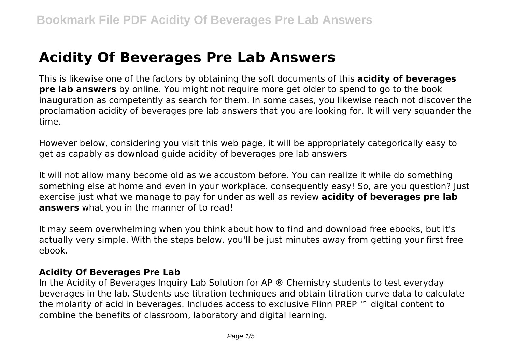# **Acidity Of Beverages Pre Lab Answers**

This is likewise one of the factors by obtaining the soft documents of this **acidity of beverages pre lab answers** by online. You might not require more get older to spend to go to the book inauguration as competently as search for them. In some cases, you likewise reach not discover the proclamation acidity of beverages pre lab answers that you are looking for. It will very squander the time.

However below, considering you visit this web page, it will be appropriately categorically easy to get as capably as download guide acidity of beverages pre lab answers

It will not allow many become old as we accustom before. You can realize it while do something something else at home and even in your workplace. consequently easy! So, are you question? Just exercise just what we manage to pay for under as well as review **acidity of beverages pre lab answers** what you in the manner of to read!

It may seem overwhelming when you think about how to find and download free ebooks, but it's actually very simple. With the steps below, you'll be just minutes away from getting your first free ebook.

#### **Acidity Of Beverages Pre Lab**

In the Acidity of Beverages Inquiry Lab Solution for AP ® Chemistry students to test everyday beverages in the lab. Students use titration techniques and obtain titration curve data to calculate the molarity of acid in beverages. Includes access to exclusive Flinn PREP ™ digital content to combine the benefits of classroom, laboratory and digital learning.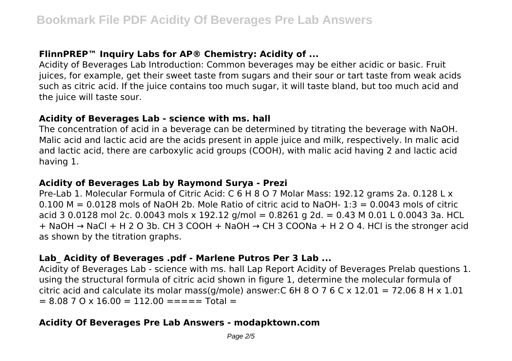## **FlinnPREP™ Inquiry Labs for AP® Chemistry: Acidity of ...**

Acidity of Beverages Lab Introduction: Common beverages may be either acidic or basic. Fruit juices, for example, get their sweet taste from sugars and their sour or tart taste from weak acids such as citric acid. If the juice contains too much sugar, it will taste bland, but too much acid and the juice will taste sour.

#### **Acidity of Beverages Lab - science with ms. hall**

The concentration of acid in a beverage can be determined by titrating the beverage with NaOH. Malic acid and lactic acid are the acids present in apple juice and milk, respectively. In malic acid and lactic acid, there are carboxylic acid groups (COOH), with malic acid having 2 and lactic acid having 1.

## **Acidity of Beverages Lab by Raymond Surya - Prezi**

Pre-Lab 1. Molecular Formula of Citric Acid: C 6 H 8 O 7 Molar Mass: 192.12 grams 2a. 0.128 L x  $0.100$  M =  $0.0128$  mols of NaOH 2b. Mole Ratio of citric acid to NaOH- 1:3 = 0.0043 mols of citric acid 3 0.0128 mol 2c. 0.0043 mols x 192.12 g/mol = 0.8261 g 2d. = 0.43 M 0.01 L 0.0043 3a. HCL + NaOH → NaCl + H 2 O 3b. CH 3 COOH + NaOH → CH 3 COONa + H 2 O 4. HCl is the stronger acid as shown by the titration graphs.

## **Lab\_ Acidity of Beverages .pdf - Marlene Putros Per 3 Lab ...**

Acidity of Beverages Lab - science with ms. hall Lap Report Acidity of Beverages Prelab questions 1. using the structural formula of citric acid shown in figure 1, determine the molecular formula of citric acid and calculate its molar mass(g/mole) answer:  $C$  6H 8 O 7 6 C x 12.01 = 72.06 8 H x 1.01  $= 8.08$  7 O x 16.00  $= 112.00$   $=$   $=$   $=$   $=$   $=$   $\text{Total}$   $=$ 

## **Acidity Of Beverages Pre Lab Answers - modapktown.com**

Page  $2/5$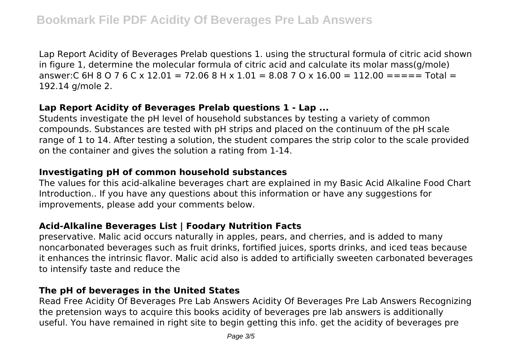Lap Report Acidity of Beverages Prelab questions 1. using the structural formula of citric acid shown in figure 1, determine the molecular formula of citric acid and calculate its molar mass(g/mole) answer:C 6H 8 O 7 6 C x 12.01 = 72.06 8 H x 1.01 = 8.08 7 O x 16.00 = 112.00 = = =  $=$  Total = 192.14 g/mole 2.

#### **Lap Report Acidity of Beverages Prelab questions 1 - Lap ...**

Students investigate the pH level of household substances by testing a variety of common compounds. Substances are tested with pH strips and placed on the continuum of the pH scale range of 1 to 14. After testing a solution, the student compares the strip color to the scale provided on the container and gives the solution a rating from 1-14.

#### **Investigating pH of common household substances**

The values for this acid-alkaline beverages chart are explained in my Basic Acid Alkaline Food Chart Introduction.. If you have any questions about this information or have any suggestions for improvements, please add your comments below.

#### **Acid-Alkaline Beverages List | Foodary Nutrition Facts**

preservative. Malic acid occurs naturally in apples, pears, and cherries, and is added to many noncarbonated beverages such as fruit drinks, fortified juices, sports drinks, and iced teas because it enhances the intrinsic flavor. Malic acid also is added to artificially sweeten carbonated beverages to intensify taste and reduce the

#### **The pH of beverages in the United States**

Read Free Acidity Of Beverages Pre Lab Answers Acidity Of Beverages Pre Lab Answers Recognizing the pretension ways to acquire this books acidity of beverages pre lab answers is additionally useful. You have remained in right site to begin getting this info. get the acidity of beverages pre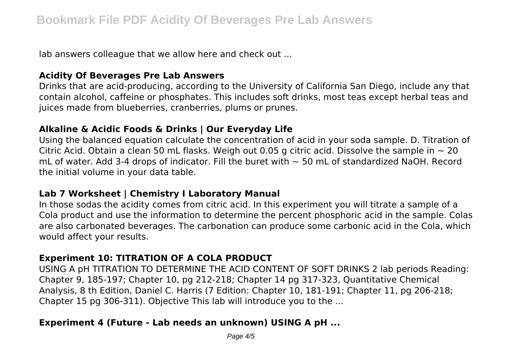lab answers colleague that we allow here and check out ...

#### **Acidity Of Beverages Pre Lab Answers**

Drinks that are acid-producing, according to the University of California San Diego, include any that contain alcohol, caffeine or phosphates. This includes soft drinks, most teas except herbal teas and juices made from blueberries, cranberries, plums or prunes.

#### **Alkaline & Acidic Foods & Drinks | Our Everyday Life**

Using the balanced equation calculate the concentration of acid in your soda sample. D. Titration of Citric Acid. Obtain a clean 50 mL flasks. Weigh out 0.05 g citric acid. Dissolve the sample in  $\sim$  20 mL of water. Add 3-4 drops of indicator. Fill the buret with  $\sim$  50 mL of standardized NaOH. Record the initial volume in your data table.

#### **Lab 7 Worksheet | Chemistry I Laboratory Manual**

In those sodas the acidity comes from citric acid. In this experiment you will titrate a sample of a Cola product and use the information to determine the percent phosphoric acid in the sample. Colas are also carbonated beverages. The carbonation can produce some carbonic acid in the Cola, which would affect your results.

## **Experiment 10: TITRATION OF A COLA PRODUCT**

USING A pH TITRATION TO DETERMINE THE ACID CONTENT OF SOFT DRINKS 2 lab periods Reading: Chapter 9, 185-197; Chapter 10, pg 212-218; Chapter 14 pg 317-323, Quantitative Chemical Analysis, 8 th Edition, Daniel C. Harris (7 Edition: Chapter 10, 181-191; Chapter 11, pg 206-218; Chapter 15 pg 306-311). Objective This lab will introduce you to the ...

## **Experiment 4 (Future - Lab needs an unknown) USING A pH ...**